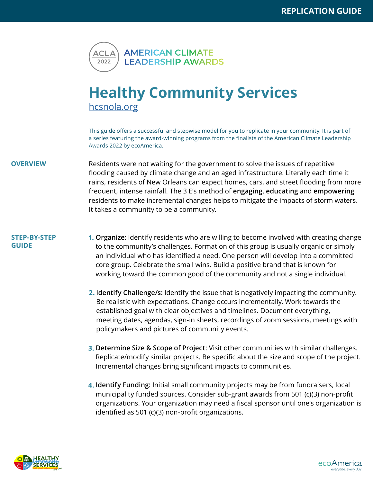

## **Healthy Community Services** [hcsnola.org](https://www.hcsnola.org/)

This guide offers a successful and stepwise model for you to replicate in your community. It is part of a series featuring the award-winning programs from the finalists of the American Climate Leadership Awards 2022 by ecoAmerica.

**OVERVIEW** Residents were not waiting for the government to solve the issues of repetitive flooding caused by climate change and an aged infrastructure. Literally each time it rains, residents of New Orleans can expect homes, cars, and street flooding from more frequent, intense rainfall. The 3 E's method of **engaging**, **educating** and **empowering** residents to make incremental changes helps to mitigate the impacts of storm waters. It takes a community to be a community.

## **STEP-BY-STEP GUIDE**

- **Organize**: Identify residents who are willing to become involved with creating change **1.** to the community's challenges. Formation of this group is usually organic or simply an individual who has identified a need. One person will develop into a committed core group. Celebrate the small wins. Build a positive brand that is known for working toward the common good of the community and not a single individual.
	- **2. Identify Challenge/s:** Identify the issue that is negatively impacting the community. Be realistic with expectations. Change occurs incrementally. Work towards the established goal with clear objectives and timelines. Document everything, meeting dates, agendas, sign-in sheets, recordings of zoom sessions, meetings with policymakers and pictures of community events.
	- **Determine Size & Scope of Project:** Visit other communities with similar challenges. **3.** Replicate/modify similar projects. Be specific about the size and scope of the project. Incremental changes bring significant impacts to communities.
	- **Identify Funding:** Initial small community projects may be from fundraisers, local **4.**municipality funded sources. Consider sub-grant awards from 501 (c)(3) non-profit organizations. Your organization may need a fiscal sponsor until one's organization is identified as 501 (c)(3) non-profit organizations.